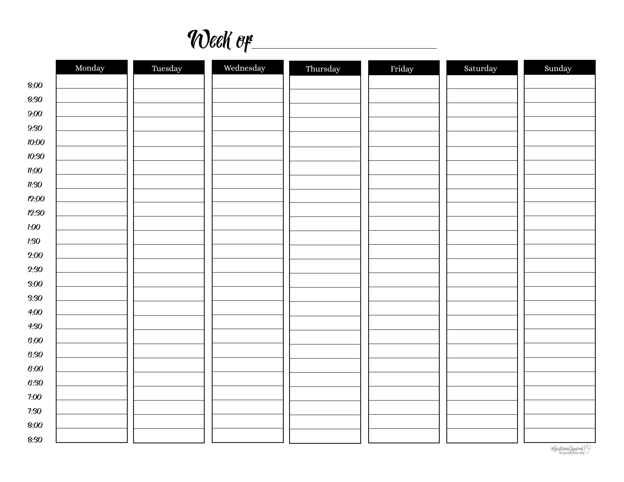Week of

|              | Monday | Tuesday | Wednesday | Thursday | Friday | Saturday | Sunday |
|--------------|--------|---------|-----------|----------|--------|----------|--------|
| $8:00$       |        |         |           |          |        |          |        |
| 8:30         |        |         |           |          |        |          |        |
| 9:00         |        |         |           |          |        |          |        |
| 9:30         |        |         |           |          |        |          |        |
| 10:00        |        |         |           |          |        |          |        |
| 10:30        |        |         |           |          |        |          |        |
| $n_{:}00$    |        |         |           |          |        |          |        |
| $\n  n:SO\n$ |        |         |           |          |        |          |        |
| 12:00        |        |         |           |          |        |          |        |
| 12:30        |        |         |           |          |        |          |        |
| 1:00         |        |         |           |          |        |          |        |
| 1:30         |        |         |           |          |        |          |        |
| 2:00         |        |         |           |          |        |          |        |
| 2:30         |        |         |           |          |        |          |        |
| 3:00         |        |         |           |          |        |          |        |
| 3:30         |        |         |           |          |        |          |        |
| 4:00         |        |         |           |          |        |          |        |
| 4:30         |        |         |           |          |        |          |        |
| 6:00         |        |         |           |          |        |          |        |
| 6:30         |        |         |           |          |        |          |        |
| 6:00         |        |         |           |          |        |          |        |
| 6:30         |        |         |           |          |        |          |        |
| 7:00         |        |         |           |          |        |          |        |
|              |        |         |           |          |        |          |        |
| 7:30         |        |         |           |          |        |          |        |
| 8:00         |        |         |           |          |        |          |        |
| 8:30         |        |         |           |          |        |          |        |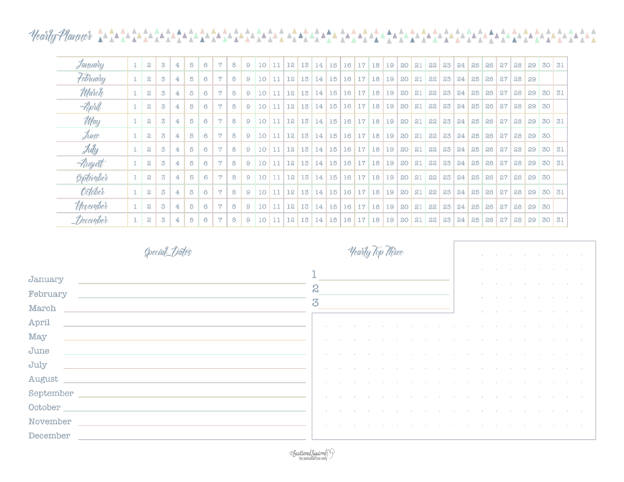### $\frac{\mathbf{A}}{\mathbf{A}}\mathbf{A}$ ŤΑ

| January                        |   | $\boldsymbol{z}$ | 3              | 4 | 5 | 6 | <b>ry</b>                 | 8 | 9 | 10              | 11 | 12 |                 | $13 \mid 14 \mid 15$      |                 |    | $16$   17   18   19 |                   | 20 | 21 | 22 | 23 | 24 | 25 | 26 | 27 | 28 | 29 | 30    | 31  |
|--------------------------------|---|------------------|----------------|---|---|---|---------------------------|---|---|-----------------|----|----|-----------------|---------------------------|-----------------|----|---------------------|-------------------|----|----|----|----|----|----|----|----|----|----|-------|-----|
| <b>Felinary</b>                |   | $\boldsymbol{S}$ | 3              | 4 | 5 | 6 | $\mathsf{r}$              | 8 | 9 | 10              | 11 | 12 |                 | 13 14                     | 15              | 16 | 17 18               | 19                | 20 | 21 | 22 | 23 | 24 | 25 | 26 | 27 | 28 | 29 |       |     |
| <i>M</i> arch                  |   | $\boldsymbol{S}$ | 3              | 4 | 5 | 6 | $\mathsf{r}$              | 8 | 9 | 10              | 11 | 12 |                 | 13 14                     | 15              | 16 | 17 18               | 19                | 20 | 21 | 22 | 23 | 24 | 25 | 26 | 27 | 28 | 29 | 30 31 |     |
| April                          |   | $\boldsymbol{S}$ | $\overline{3}$ | 4 | 5 | 6 | r                         | 8 | 9 | 10              | 11 | 12 | 13              | 14                        | 15              | 16 | 17 18               | 19                | 20 | 21 | 22 | 23 | 24 | 25 | 26 | 27 | 28 | 29 | 30    |     |
| <i>May</i>                     |   | S                | $\overline{3}$ | 4 | 5 | 6 | $\mathsf{r}$              | 8 | 9 | 10              | 11 | 12 |                 | 13 14                     | 15              | 16 | $17$ 18 19          |                   | 20 | 21 | 22 | 23 | 24 | 25 | 26 | 27 | 28 | 29 | 30    | 31  |
| June                           |   | S.               | 3              | 4 | 5 | 6 | $\mathsf{r}$              | 8 | 9 | 10              | 11 | 12 | 13 <sup>1</sup> | 14                        | 15              | 16 | $17$   18   19      |                   | 20 | 21 | 22 | 23 | 24 | 25 | 26 | 27 | 28 | 29 | 30    |     |
| July                           |   | $\boldsymbol{2}$ | 3              | 4 | 5 | 6 | $\mathsf{r}$              | 8 | 9 | 10              | 11 | 12 | 13              | 14                        | 15              | 16 | 17 18 19            |                   | 20 | 21 | 22 | 23 | 24 | 25 | 26 | 27 | 28 | 29 | 30    | 31  |
| August                         |   | $\boldsymbol{S}$ | 3              | 4 | 5 | 6 | $\overline{z}$            | 8 | 9 | 10              | 11 | 12 | 13              | 14                        | 15              | 16 |                     | $17$ 18 19        | 20 | 21 | 22 | 23 | 24 | 25 | 26 | 27 | 28 | 29 | 30    | 31  |
| <b><i><u>Geptember</u></i></b> |   | $\boldsymbol{S}$ | 3              | 4 | 5 | 6 | $\overline{v}$            | 8 | 9 | 10              | 11 | 12 |                 | 13 14                     | 15 <sup>1</sup> | 16 | $17$   18   19      |                   | 20 | 21 | 22 | 23 | 24 | 25 | 26 | 27 | 28 | 29 | 30    |     |
| <b>October</b>                 | 1 | $\mathbf{a}$     | $\overline{3}$ | 4 | 5 | 6 | $\mathbf{r}$              | 8 | 9 | 10 <sup>1</sup> | 11 | 12 |                 | 13 14                     | 15 <sup>1</sup> |    |                     | 16 17 18 19       | 20 | 21 | 22 | 23 | 24 | 25 | 26 | 27 | 28 | 29 | 30    | -31 |
| <i>Movember</i>                | 1 | $\boldsymbol{z}$ | $\overline{3}$ | 4 | 5 | 6 | $\mathsf{r}_{\mathsf{y}}$ | 8 | 9 | $10-1$          | 11 | 12 |                 | $13 \mid 14 \mid 15 \mid$ |                 |    |                     | $16$ 17 18 19     | 20 | 21 | 22 | 23 | 24 | 25 | 26 | 27 | 28 | 29 | 30    |     |
| December                       | 1 | S                | $\overline{3}$ | 4 | 5 | 6 | $\overline{7}$            | 8 | 9 | 10 <sup>1</sup> | 11 | 12 |                 | 13 14 15                  |                 |    |                     | 16   17   18   19 | 20 | 21 | 22 | 23 | 24 | 25 | 26 | 27 | 28 | 29 | 30    | 31  |

| Special Dates                | <i>Hearly</i><br>r <i>lli</i> nee |
|------------------------------|-----------------------------------|
| January<br>February<br>March | S<br>3                            |
| April                        |                                   |
| May<br>June                  |                                   |
| July<br>August               |                                   |
| September                    |                                   |
| October<br>November          |                                   |
| December                     |                                   |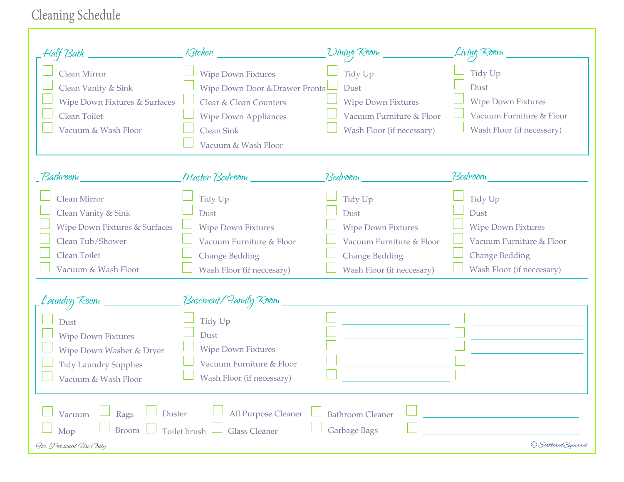# Cleaning Schedule

| Bath                                                                                                                                           | Kitchen                                                                                                                                                              | Dining Room                                                                                                                    | Living Room                                                                                                                    |
|------------------------------------------------------------------------------------------------------------------------------------------------|----------------------------------------------------------------------------------------------------------------------------------------------------------------------|--------------------------------------------------------------------------------------------------------------------------------|--------------------------------------------------------------------------------------------------------------------------------|
| <b>Clean Mirror</b><br>Clean Vanity & Sink<br>Wipe Down Fixtures & Surfaces<br>Clean Toilet<br>Vacuum & Wash Floor                             | <b>Wipe Down Fixtures</b><br><b>Wipe Down Door &amp; Drawer Fronts</b><br>Clear & Clean Counters<br><b>Wipe Down Appliances</b><br>Clean Sink<br>Vacuum & Wash Floor | Tidy Up<br>Dust<br><b>Wipe Down Fixtures</b><br>Vacuum Furniture & Floor<br>Wash Floor (if necessary)                          | Tidy Up<br>Dust<br><b>Wipe Down Fixtures</b><br>Vacuum Furniture & Floor<br>Wash Floor (if necessary)                          |
| Bathroom                                                                                                                                       | Master Bedroom ________                                                                                                                                              | Bedroom                                                                                                                        | Bedroom                                                                                                                        |
| Clean Mirror<br>Clean Vanity & Sink<br>Wipe Down Fixtures & Surfaces<br>Clean Tub/Shower<br>Clean Toilet<br>Vacuum & Wash Floor<br>aundry Room | Tidy Up<br>Dust<br><b>Wipe Down Fixtures</b><br>Vacuum Furniture & Floor<br><b>Change Bedding</b><br>Wash Floor (if neccesary)<br>Basement/Family Room               | Tidy Up<br>Dust<br><b>Wipe Down Fixtures</b><br>Vacuum Furniture & Floor<br><b>Change Bedding</b><br>Wash Floor (if neccesary) | Tidy Up<br>Dust<br><b>Wipe Down Fixtures</b><br>Vacuum Furniture & Floor<br><b>Change Bedding</b><br>Wash Floor (if neccesary) |
| Dust<br><b>Wipe Down Fixtures</b><br>Wipe Down Washer & Dryer<br><b>Tidy Laundry Supplies</b><br>Vacuum & Wash Floor                           | Tidy Up<br>Dust<br><b>Wipe Down Fixtures</b><br>Vacuum Furniture & Floor<br>Wash Floor (if necessary)                                                                |                                                                                                                                |                                                                                                                                |
| Duster<br>Rags<br>Vacuum<br><b>Broom</b><br>Mop<br>Gor Personal Use Only                                                                       | All Purpose Cleaner<br><b>Glass Cleaner</b><br>Toilet brush                                                                                                          | <b>Bathroom Cleaner</b><br>Garbage Bags                                                                                        | © Scattered Squirrel                                                                                                           |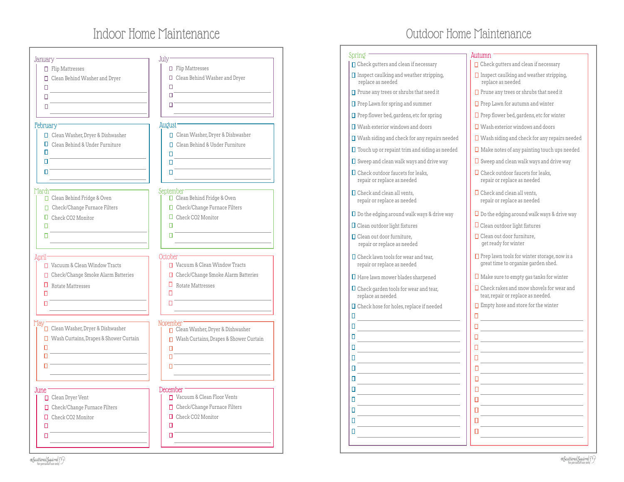## Indoor Home Maintenance

| January <sup>.</sup>                          | July                                     |
|-----------------------------------------------|------------------------------------------|
| $\Box$ Flip Mattresses                        | $\Box$ Flip Mattresses                   |
|                                               |                                          |
| □ Clean Behind Washer and Dryer               | □ Clean Behind Washer and Dryer<br>п     |
| п                                             | П                                        |
| п                                             |                                          |
| П                                             | п                                        |
| February <sup>-</sup>                         | August -                                 |
| □ Clean Washer, Dryer & Dishwasher            | □ Clean Washer, Dryer & Dishwasher       |
| $\Box$ Clean Behind & Under Furniture         | □ Clean Behind & Under Furniture         |
| П                                             | п                                        |
| п                                             | п                                        |
| п                                             | п.                                       |
|                                               |                                          |
| March <sup>-</sup>                            | September                                |
| □ Clean Behind Fridge & Oven                  | □ Clean Behind Fridge & Oven             |
| □ Check/Change Furnace Filters                | □ Check/Change Furnace Filters           |
| $\Box$ Check CO2 Monitor                      | $\Box$ Check CO2 Monitor<br>п            |
| п                                             |                                          |
| п                                             |                                          |
| April <sup>-</sup>                            | October                                  |
| Vacuum & Clean Window Tracts                  | □ Vacuum & Clean Window Tracts           |
| □ Check/Change Smoke Alarm Batteries          | □ Check/Change Smoke Alarm Batteries     |
| $\Box$ Rotate Mattresses                      | $\Box$ Rotate Mattresses                 |
| П                                             | п                                        |
| П                                             | П                                        |
|                                               |                                          |
| May<br>□ Clean Washer, Dryer & Dishwasher     | November                                 |
|                                               | Clean Washer, Dryer & Dishwasher         |
| $\Box$ Wash Curtains, Drapes & Shower Curtain | □ Wash Curtains, Drapes & Shower Curtain |
| п<br>п                                        | п                                        |
|                                               | п                                        |
| п                                             | п                                        |
|                                               |                                          |
| June -<br>□ Clean Dryer Vent                  | December<br>Vacuum & Clean Floor Vents   |
| □ Check/Change Furnace Filters                | □ Check/Change Furnace Filters           |
|                                               | Check CO2 Monitor                        |
| Check CO2 Monitor                             | п                                        |
|                                               |                                          |
| п<br>п                                        | п                                        |

#### Outdoor Home MaintenanceSpring and Autumn  $\Box$  Check gutters and clean if necessary  $\Box$  Check gutters and clean if necessary  $\Box$  Inspect caulking and weather stripping,  $\Box$  Inspect caulking and weather stripping, replace as needed replace as needed  $\Box$  Prune any trees or shrubs that need it  $\Box$  Prune any trees or shrubs that need it  $\Box$  Prep Lawn for spring and summer  $\Box$  Prep Lawn for autumn and winter □ Prep flower bed, gardens, etc for spring  $\Box$  Prep flower bed, gardens, etc for winter Wash exterior windows and doors Wash exterior windows and doors ■ Wash siding and check for any repairs needed Wash siding and check for any repairs needed Touch up or repaint trim and siding as needed  $\square$  Make notes of any painting touch ups needed  $\square$  Sweep and clean walk ways and drive way  $\square$  Sweep and clean walk ways and drive way  $\square$  Check outdoor faucets for leaks,  $\Box$  Check outdoor faucets for leaks, repair or replace as needed repair or replace as needed  $\Box$  Check and clean all vents,  $\square$  Check and clean all vents, repair or replace as needed repair or replace as needed  $\square$  Do the edging around walk ways & drive way  $\square$  Do the edging around walk ways & drive way ■ Clean outdoor light fixtures ■ Clean outdoor light fixtures □ Clean out door furniture, □ Clean out door furniture, repair or replace as needed get ready for winter  $\square$  Check lawn tools for wear and tear.  $\square$  Prep lawn tools for winter storage, now is a great time to organize garden shed. repair or replace as needed  $\Box$  Make sure to empty gas tanks for winter  $\square$  Have lawn mower blades sharpened Check garden tools for wear and tear,  $\square$  Check rakes and snow shovels for wear and tear, repair or replace as needed. replace as needed  $\Box$  Empty hose and store for the winter Check hose for holes, replace if needed  $\Box$  $\Box$  $\Box$  $\Box$  $\Box$  $\Box$  $\Box$  $\Box$  $\Box$  $\Box$  $\overline{\mathsf{L}}$  $\Box$  $\Box$  $\Box$  $\Box$  $\Box$  $\Box$  $\Box$  $\Box$  $\Box$  $\Box$  $\Box$  $\Box$  $\Box$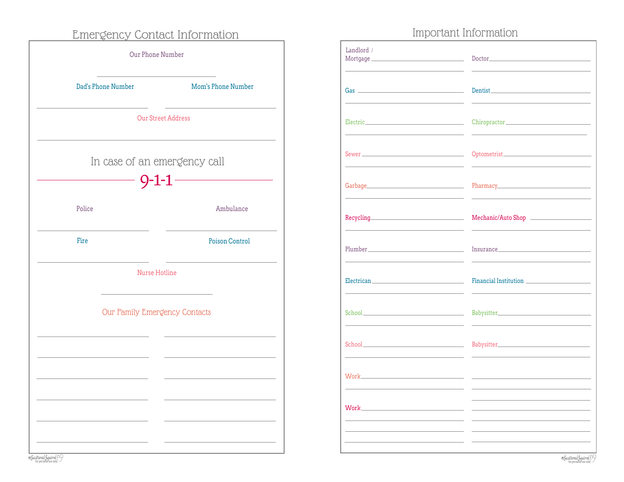### Emergency Contact Information

| Our Phone Number              |                           |
|-------------------------------|---------------------------|
| Dad's Phone Number            | Mom's Phone Number        |
|                               | <b>Our Street Address</b> |
| In case of an emergency call  | $9 - 1 - 1$               |
| Police                        | Ambulance                 |
| Fire                          | Poison Control            |
| Nurse Hotline                 |                           |
| Our Family Emergency Contacts |                           |
|                               |                           |
|                               |                           |
|                               |                           |
|                               |                           |

### Important Information

| Landlord /                                                                                                                                                                                                                           |                                                                                                                 |
|--------------------------------------------------------------------------------------------------------------------------------------------------------------------------------------------------------------------------------------|-----------------------------------------------------------------------------------------------------------------|
|                                                                                                                                                                                                                                      | Dentist and the contract of the contract of the contract of the contract of the contract of the contract of the |
|                                                                                                                                                                                                                                      |                                                                                                                 |
| Sewer <u>and the second contract of the second contract of</u>                                                                                                                                                                       |                                                                                                                 |
|                                                                                                                                                                                                                                      |                                                                                                                 |
|                                                                                                                                                                                                                                      | Mechanic/Auto Shop                                                                                              |
|                                                                                                                                                                                                                                      |                                                                                                                 |
|                                                                                                                                                                                                                                      |                                                                                                                 |
|                                                                                                                                                                                                                                      |                                                                                                                 |
| School <u>and the second second and the second second second second second second second second second second second</u>                                                                                                             |                                                                                                                 |
| Work <b>Experience and Contract Contract Contract Contract Contract Contract Contract Contract Contract Contract Contract Contract Contract Contract Contract Contract Contract Contract Contract Contract Contract Contract Con</b> | <u> 1989 - Andrea Station, amerikansk politik (</u>                                                             |
| Work and the contract of the contract of the contract of the contract of the contract of the contract of the contract of the contract of the contract of the contract of the contract of the contract of the contract of the c       |                                                                                                                 |
|                                                                                                                                                                                                                                      |                                                                                                                 |